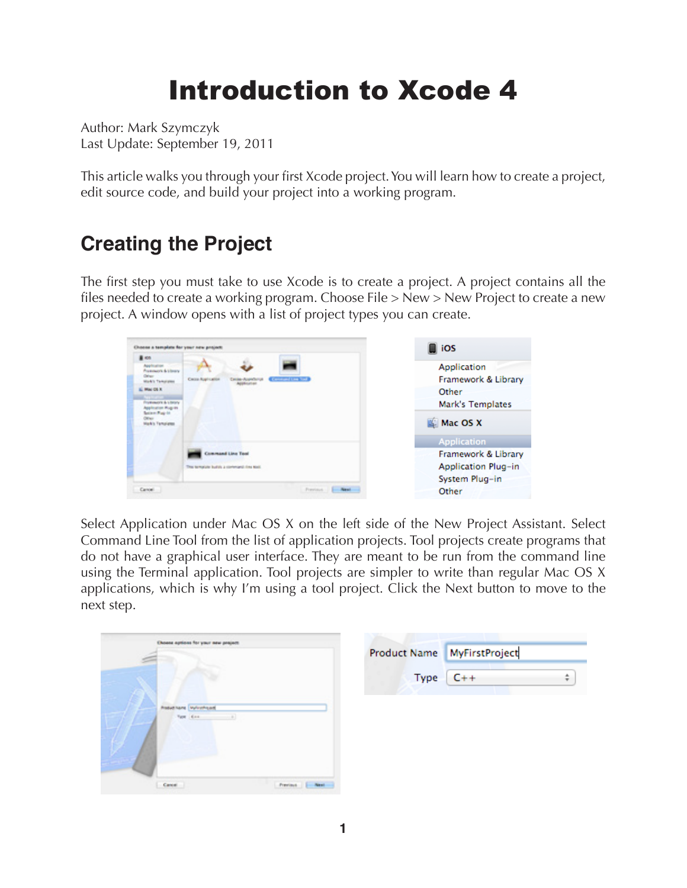# Introduction to Xcode 4

Author: Mark Szymczyk Last Update: September 19, 2011

This article walks you through your first Xcode project. You will learn how to create a project, edit source code, and build your project into a working program.

# **Creating the Project**

The first step you must take to use Xcode is to create a project. A project contains all the files needed to create a working program. Choose File > New > New Project to create a new project. A window opens with a list of project types you can create.

| A KOL                                                                                                                                                                                                             |                                                                          |                                                                             |
|-------------------------------------------------------------------------------------------------------------------------------------------------------------------------------------------------------------------|--------------------------------------------------------------------------|-----------------------------------------------------------------------------|
| Application<br><b><i><u>Australian &amp; Library</u></i></b><br>Other<br><b>Work's Templates</b><br>May DEX<br>Production & Library<br>pleater Rup in<br><b>Series Pag-In</b><br>Other<br><b>Wark's Templates</b> | <b>Conversion Line Stock</b><br>Cacco Aug-Luisie<br>worker-Accordial     | Application<br>Framework & Library<br>Other<br>Mark's Templates<br>Mac OS X |
|                                                                                                                                                                                                                   |                                                                          | Application                                                                 |
|                                                                                                                                                                                                                   | <b>Command Line Tool</b><br>This template builds a contemptal ring Madi- | Framework & Library<br>Application Plug-in<br>System Plug-in                |
| Cancel.                                                                                                                                                                                                           | Freelout 1 - Next                                                        | Other                                                                       |

Select Application under Mac OS X on the left side of the New Project Assistant. Select Command Line Tool from the list of application projects. Tool projects create programs that do not have a graphical user interface. They are meant to be run from the command line using the Terminal application. Tool projects are simpler to write than regular Mac OS X applications, which is why I'm using a tool project. Click the Next button to move to the next step.

| Choose aptions for your new project |                  | Product Name MyFirstProject |
|-------------------------------------|------------------|-----------------------------|
|                                     | Type             | $C++$<br>٠                  |
| <b>Policitare</b> Winniped          |                  |                             |
| Cancel                              | Frenisch   Next- |                             |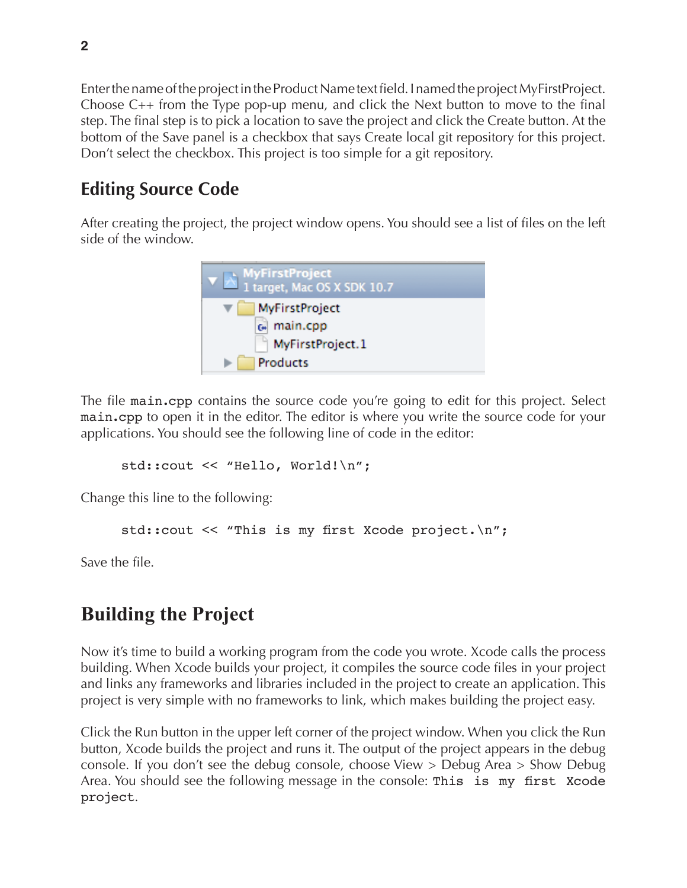Enter the name of the project in the Product Name text field. I named the project MyFirstProject. Choose C++ from the Type pop-up menu, and click the Next button to move to the final step. The final step is to pick a location to save the project and click the Create button. At the bottom of the Save panel is a checkbox that says Create local git repository for this project. Don't select the checkbox. This project is too simple for a git repository.

#### **Editing Source Code**

After creating the project, the project window opens. You should see a list of files on the left side of the window.



The file main.cpp contains the source code you're going to edit for this project. Select main.cpp to open it in the editor. The editor is where you write the source code for your applications. You should see the following line of code in the editor:

std::cout << "Hello, World!\n";

Change this line to the following:

std::cout << "This is my first Xcode project.\n";

Save the file.

## **Building the Project**

Now it's time to build a working program from the code you wrote. Xcode calls the process building. When Xcode builds your project, it compiles the source code files in your project and links any frameworks and libraries included in the project to create an application. This project is very simple with no frameworks to link, which makes building the project easy.

Click the Run button in the upper left corner of the project window. When you click the Run button, Xcode builds the project and runs it. The output of the project appears in the debug console. If you don't see the debug console, choose View > Debug Area > Show Debug Area. You should see the following message in the console: This is my first Xcode project.